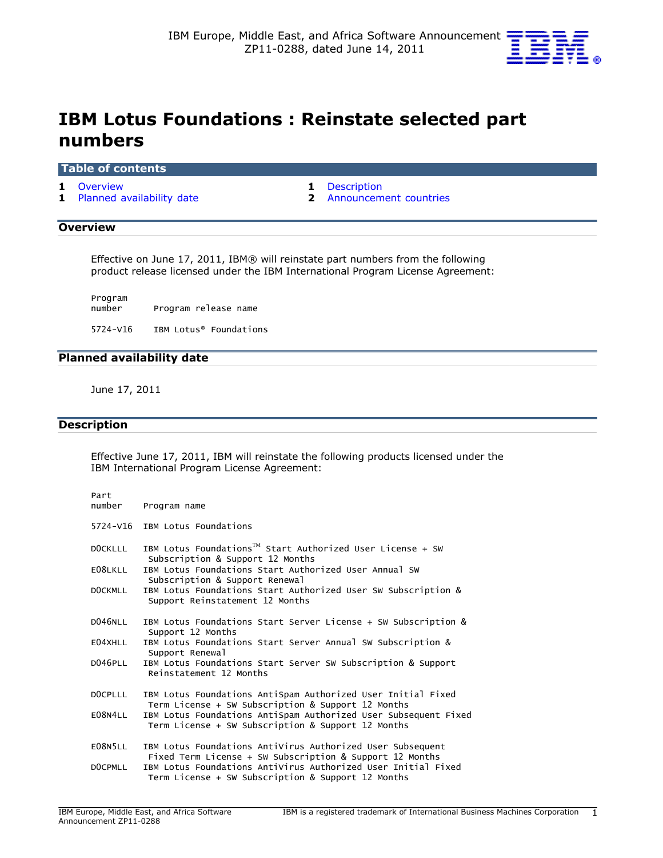

# IBM Lotus Foundations : Reinstate selected part numbers

## Table of contents

1 [Overview](#page-0-0) 1 Description

1 [Planned availability date](#page-0-2) **2** [Announcement countries](#page-1-0)

## <span id="page-0-0"></span>**Overview**

Effective on June 17, 2011, IBM® will reinstate part numbers from the following product release licensed under the IBM International Program License Agreement:

Program Program release name 5724-V16 IBM Lotus® Foundations

# <span id="page-0-2"></span>Planned availability date

June 17, 2011

# <span id="page-0-1"></span>**Description**

Effective June 17, 2011, IBM will reinstate the following products licensed under the IBM International Program License Agreement:

| Part<br>number | Program name                                                                                                           |
|----------------|------------------------------------------------------------------------------------------------------------------------|
|                | 5724-V16 IBM Lotus Foundations                                                                                         |
| <b>DOCKLLL</b> | IBM Lotus Foundations <sup>TM</sup> Start Authorized User License + SW<br>Subscription & Support 12 Months             |
| E08LKLL        | IBM Lotus Foundations Start Authorized User Annual SW<br>Subscription & Support Renewal                                |
| <b>DOCKMLL</b> | IBM Lotus Foundations Start Authorized User SW Subscription &<br>Support Reinstatement 12 Months                       |
| D046NLL        | IBM Lotus Foundations Start Server License + SW Subscription &<br>Support 12 Months                                    |
| E04XHLL        | IBM Lotus Foundations Start Server Annual SW Subscription &<br>Support Renewal                                         |
| D046PLL        | IBM Lotus Foundations Start Server SW Subscription & Support<br>Reinstatement 12 Months                                |
| DOCPLLL        | IBM Lotus Foundations AntiSpam Authorized User Initial Fixed<br>Term License + SW Subscription & Support 12 Months     |
| E08N4LL        | IBM Lotus Foundations AntiSpam Authorized User Subsequent Fixed<br>Term License + SW Subscription & Support 12 Months  |
| E08N5LL        | IBM Lotus Foundations AntiVirus Authorized User Subsequent<br>Fixed Term License + SW Subscription & Support 12 Months |
| DOCPMLL        | IBM Lotus Foundations AntiVirus Authorized User Initial Fixed<br>Term License + SW Subscription & Support 12 Months    |